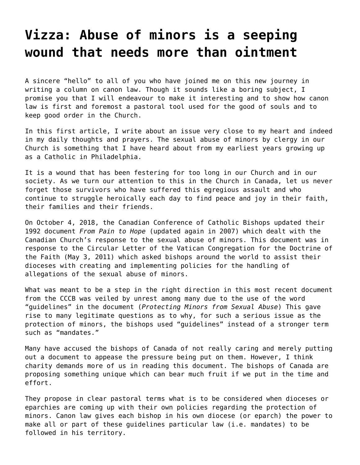## **[Vizza: Abuse of minors is a seeping](https://grandinmedia.ca/abuse-minors-seeping-wound-needs-ointment/) [wound that needs more than ointment](https://grandinmedia.ca/abuse-minors-seeping-wound-needs-ointment/)**

A sincere "hello" to all of you who have joined me on this new journey in writing a column on canon law. Though it sounds like a boring subject, I promise you that I will endeavour to make it interesting and to show how canon law is first and foremost a pastoral tool used for the good of souls and to keep good order in the Church.

In this first article, I write about an issue very close to my heart and indeed in my daily thoughts and prayers. The sexual abuse of minors by clergy in our Church is something that I have heard about from my earliest years growing up as a Catholic in Philadelphia.

It is a wound that has been festering for too long in our Church and in our society. As we turn our attention to this in the Church in Canada, let us never forget those survivors who have suffered this egregious assault and who continue to struggle heroically each day to find peace and joy in their faith, their families and their friends.

On October 4, 2018, the [Canadian Conference of Catholic Bishops](http://www.cccb.ca/site/eng/) updated their 1992 document *From Pain to Hope* (updated again in 2007) which dealt with the Canadian Church's response to the sexual abuse of minors. This document was in response to the Circular Letter of the Vatican Congregation for the Doctrine of the Faith (May 3, 2011) which asked bishops around the world to assist their dioceses with creating and implementing policies for the handling of allegations of the sexual abuse of minors.

What was meant to be a step in the right direction in this most recent document from the CCCB was veiled by unrest among many due to the use of the word "guidelines" in the document (*[Protecting Minors from Sexual Abuse](http://www.cccb.ca/site/images/stories/pdf/Protecting_Minors_2018.pdf)*) This gave rise to many legitimate questions as to why, for such a serious issue as the protection of minors, the bishops used "guidelines" instead of a stronger term such as "mandates."

Many have accused the bishops of Canada of not really caring and merely putting out a document to appease the pressure being put on them. However, I think charity demands more of us in reading this document. The bishops of Canada are proposing something unique which can bear much fruit if we put in the time and effort.

They propose in clear pastoral terms what is to be considered when dioceses or eparchies are coming up with their own policies regarding the protection of minors. Canon law gives each bishop in his own diocese (or eparch) the power to make all or part of these guidelines particular law (i.e. mandates) to be followed in his territory.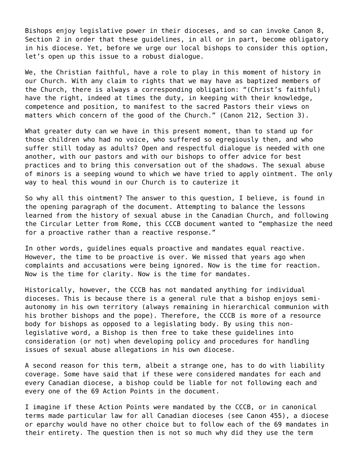Bishops enjoy legislative power in their dioceses, and so can invoke [Canon 8,](http://www.vatican.va/archive/ENG1104/__P3.HTM) [Section 2](http://www.vatican.va/archive/ENG1104/__P3.HTM) in order that these guidelines, in all or in part, become obligatory in his diocese. Yet, before we urge our local bishops to consider this option, let's open up this issue to a robust dialogue.

We, the Christian faithful, have a role to play in this moment of history in our Church. With any claim to rights that we may have as baptized members of the Church, there is always a corresponding obligation: "(Christ's faithful) have the right, indeed at times the duty, in keeping with their knowledge, competence and position, to manifest to the sacred Pastors their views on matters which concern of the good of the Church." [\(Canon 212, Section 3\)](http://www.vatican.va/archive/ENG1104/__PU.HTM).

What greater duty can we have in this present moment, than to stand up for those children who had no voice, who suffered so egregiously then, and who suffer still today as adults? Open and respectful dialogue is needed with one another, with our pastors and with our bishops to offer advice for best practices and to bring this conversation out of the shadows. The sexual abuse of minors is a seeping wound to which we have tried to apply ointment. The only way to heal this wound in our Church is to cauterize it

So why all this ointment? The answer to this question, I believe, is found in the opening paragraph of the document. Attempting to balance the lessons learned from the history of sexual abuse in the Canadian Church, and following the Circular Letter from Rome, this CCCB document wanted to "emphasize the need for a proactive rather than a reactive response."

In other words, guidelines equals proactive and mandates equal reactive. However, the time to be proactive is over. We missed that years ago when complaints and accusations were being ignored. Now is the time for reaction. Now is the time for clarity. Now is the time for mandates.

Historically, however, the CCCB has not mandated anything for individual dioceses. This is because there is a general rule that a bishop enjoys semiautonomy in his own territory (always remaining in hierarchical communion with his brother bishops and the pope). Therefore, the CCCB is more of a resource body for bishops as opposed to a legislating body. By using this nonlegislative word, a Bishop is then free to take these guidelines into consideration (or not) when developing policy and procedures for handling issues of sexual abuse allegations in his own diocese.

A second reason for this term, albeit a strange one, has to do with liability coverage. Some have said that if these were considered mandates for each and every Canadian diocese, a bishop could be liable for not following each and every one of the 69 Action Points in the document.

I imagine if these Action Points were mandated by the CCCB, or in canonical terms made particular law for all Canadian dioceses (see [Canon 455\)](http://www.vatican.va/archive/ENG1104/__P1L.HTM), a diocese or eparchy would have no other choice but to follow each of the 69 mandates in their entirety. The question then is not so much why did they use the term